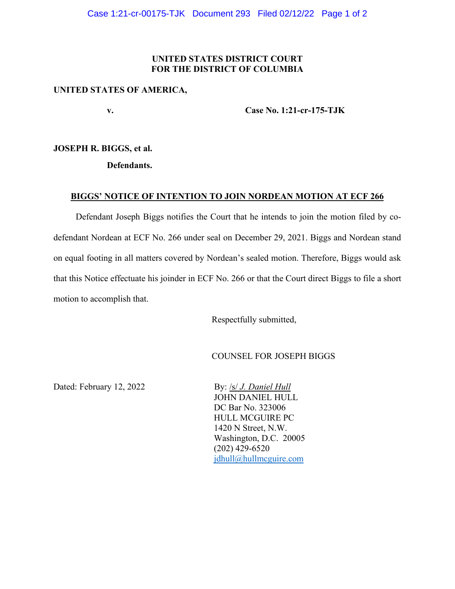## **UNITED STATES DISTRICT COURT FOR THE DISTRICT OF COLUMBIA**

#### **UNITED STATES OF AMERICA,**

 **v. Case No. 1:21-cr-175-TJK** 

## **JOSEPH R. BIGGS, et al.**

 **Defendants.** 

### **BIGGS' NOTICE OF INTENTION TO JOIN NORDEAN MOTION AT ECF 266**

 Defendant Joseph Biggs notifies the Court that he intends to join the motion filed by codefendant Nordean at ECF No. 266 under seal on December 29, 2021. Biggs and Nordean stand on equal footing in all matters covered by Nordean's sealed motion. Therefore, Biggs would ask that this Notice effectuate his joinder in ECF No. 266 or that the Court direct Biggs to file a short motion to accomplish that.

Respectfully submitted,

## COUNSEL FOR JOSEPH BIGGS

Dated: February 12, 2022 By: /s/ *J. Daniel Hull* 

 JOHN DANIEL HULL DC Bar No. 323006 HULL MCGUIRE PC 1420 N Street, N.W. Washington, D.C. 20005 (202) 429-6520 jdhull@hullmcguire.com